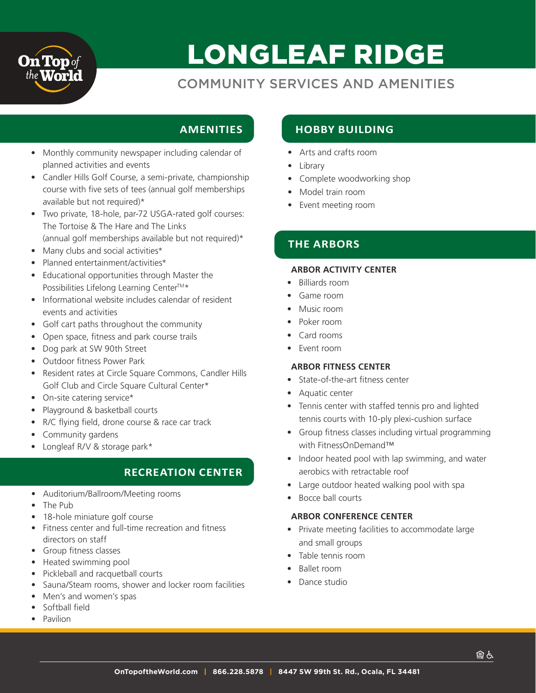

# LONGLEAF RIDGE

## COMMUNITY SERVICES AND AMENITIES

## **AMENITIES**

- Monthly community newspaper including calendar of planned activities and events
- Candler Hills Golf Course, a semi-private, championship course with five sets of tees (annual golf memberships available but not required)\*
- Two private, 18-hole, par-72 USGA-rated golf courses: The Tortoise & The Hare and The Links (annual golf memberships available but not required)\*
- Many clubs and social activities\*
- Planned entertainment/activities\*
- Educational opportunities through Master the Possibilities Lifelong Learning Center™\*
- Informational website includes calendar of resident events and activities
- Golf cart paths throughout the community
- Open space, fitness and park course trails
- Dog park at SW 90th Street
- Outdoor fitness Power Park
- Resident rates at Circle Square Commons, Candler Hills Golf Club and Circle Square Cultural Center\*
- On-site catering service\*
- Playground & basketball courts
- R/C flying field, drone course & race car track
- Community gardens
- Longleaf R/V & storage park\*

## **RECREATION CENTER**

- Auditorium/Ballroom/Meeting rooms
- The Pub
- 18-hole miniature golf course
- Fitness center and full-time recreation and fitness directors on staff
- Group fitness classes
- Heated swimming pool
- Pickleball and racquetball courts
- Sauna/Steam rooms, shower and locker room facilities
- Men's and women's spas
- Softball field
- Pavilion

## **HOBBY BUILDING**

- Arts and crafts room
- Library
- Complete woodworking shop
- Model train room
- Event meeting room

## **THE ARBORS**

#### **ARBOR ACTIVITY CENTER**

- Billiards room
- Game room
- Music room
- Poker room
- Card rooms
- Event room

#### **ARBOR FITNESS CENTER**

- State-of-the-art fitness center
- Aquatic center
- Tennis center with staffed tennis pro and lighted tennis courts with 10-ply plexi-cushion surface
- Group fitness classes including virtual programming with FitnessOnDemand™
- Indoor heated pool with lap swimming, and water aerobics with retractable roof
- Large outdoor heated walking pool with spa
- Bocce ball courts

#### **ARBOR CONFERENCE CENTER**

- Private meeting facilities to accommodate large and small groups
- Table tennis room
- Ballet room
- Dance studio